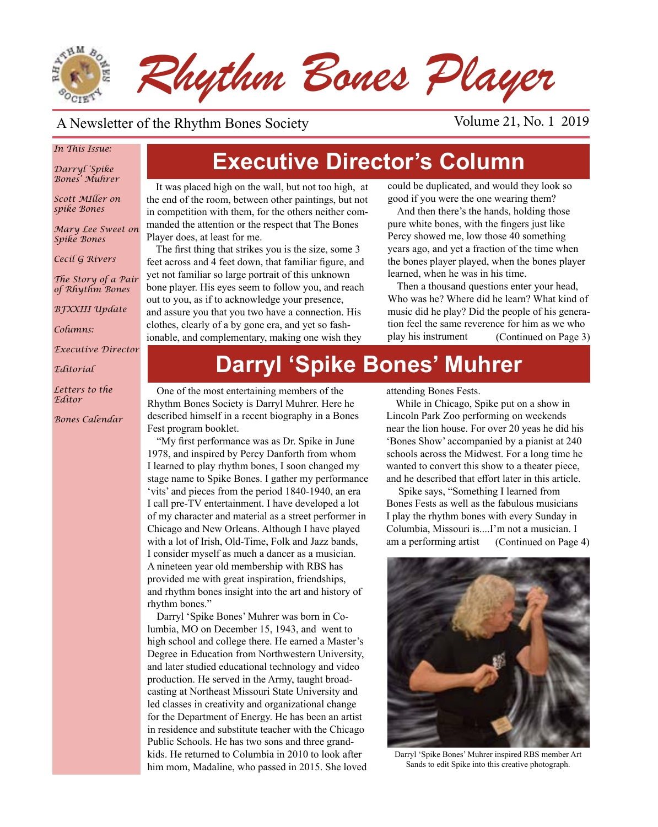

### A Newsletter of the Rhythm Bones Society Volume 21, No. 1 2019

### *In This Issue:*

*Darryl 'Spike Bones' Muhrer*

*Scott MIller on spike Bones*

*Mary Lee Sweet on Spike Bones*

*Cecil G Rivers*

*The Story of a Pair of Rhythm Bones*

*BFXXIII Update*

*Columns:* 

*Executive Director*

*Editorial*

*Letters to the Editor*

*Bones Calendar*

## **Executive Director's Column**

It was placed high on the wall, but not too high, at the end of the room, between other paintings, but not in competition with them, for the others neither commanded the attention or the respect that The Bones Player does, at least for me.

The first thing that strikes you is the size, some 3 feet across and 4 feet down, that familiar figure, and yet not familiar so large portrait of this unknown bone player. His eyes seem to follow you, and reach out to you, as if to acknowledge your presence, and assure you that you two have a connection. His clothes, clearly of a by gone era, and yet so fashionable, and complementary, making one wish they

could be duplicated, and would they look so good if you were the one wearing them?

And then there's the hands, holding those pure white bones, with the fingers just like Percy showed me, low those 40 something years ago, and yet a fraction of the time when the bones player played, when the bones player learned, when he was in his time.

Then a thousand questions enter your head, Who was he? Where did he learn? What kind of music did he play? Did the people of his generation feel the same reverence for him as we who play his instrument (Continued on Page 3)

## **Darryl 'Spike Bones' Muhrer**

One of the most entertaining members of the Rhythm Bones Society is Darryl Muhrer. Here he described himself in a recent biography in a Bones Fest program booklet.

"My first performance was as Dr. Spike in June 1978, and inspired by Percy Danforth from whom I learned to play rhythm bones, I soon changed my stage name to Spike Bones. I gather my performance 'vits' and pieces from the period 1840-1940, an era I call pre-TV entertainment. I have developed a lot of my character and material as a street performer in Chicago and New Orleans. Although I have played with a lot of Irish, Old-Time, Folk and Jazz bands, I consider myself as much a dancer as a musician. A nineteen year old membership with RBS has provided me with great inspiration, friendships, and rhythm bones insight into the art and history of rhythm bones."

Darryl 'Spike Bones' Muhrer was born in Columbia, MO on December 15, 1943, and went to high school and college there. He earned a Master's Degree in Education from Northwestern University, and later studied educational technology and video production. He served in the Army, taught broadcasting at Northeast Missouri State University and led classes in creativity and organizational change for the Department of Energy. He has been an artist in residence and substitute teacher with the Chicago Public Schools. He has two sons and three grandkids. He returned to Columbia in 2010 to look after him mom, Madaline, who passed in 2015. She loved attending Bones Fests.

While in Chicago, Spike put on a show in Lincoln Park Zoo performing on weekends near the lion house. For over 20 yeas he did his 'Bones Show' accompanied by a pianist at 240 schools across the Midwest. For a long time he wanted to convert this show to a theater piece, and he described that effort later in this article.

 Spike says, "Something I learned from Bones Fests as well as the fabulous musicians I play the rhythm bones with every Sunday in Columbia, Missouri is....I'm not a musician. I am a performing artist (Continued on Page 4)



Darryl 'Spike Bones' Muhrer inspired RBS member Art Sands to edit Spike into this creative photograph.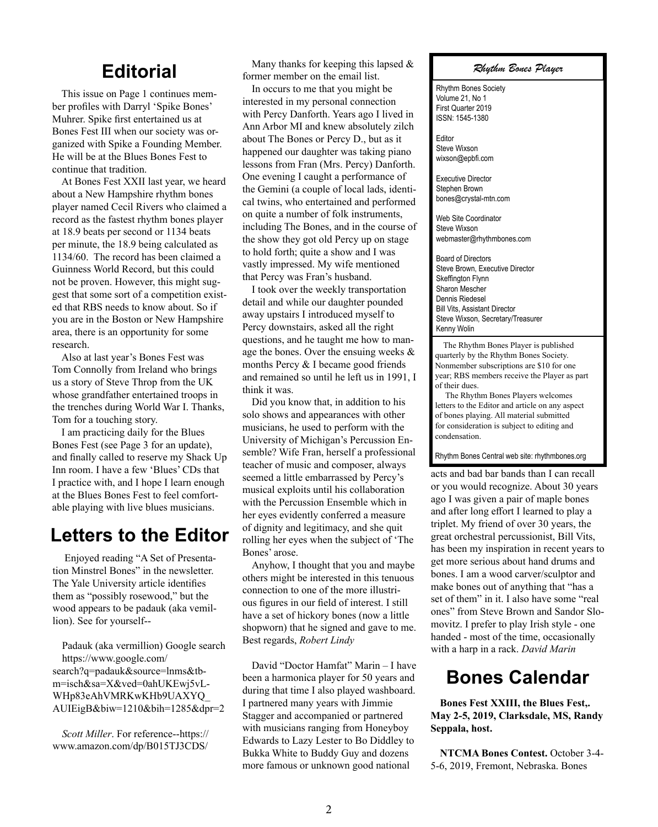### **Editorial**

This issue on Page 1 continues member profiles with Darryl 'Spike Bones' Muhrer. Spike first entertained us at Bones Fest III when our society was organized with Spike a Founding Member. He will be at the Blues Bones Fest to continue that tradition.

At Bones Fest XXII last year, we heard about a New Hampshire rhythm bones player named Cecil Rivers who claimed a record as the fastest rhythm bones player at 18.9 beats per second or 1134 beats per minute, the 18.9 being calculated as 1134/60. The record has been claimed a Guinness World Record, but this could not be proven. However, this might suggest that some sort of a competition existed that RBS needs to know about. So if you are in the Boston or New Hampshire area, there is an opportunity for some research.

Also at last year's Bones Fest was Tom Connolly from Ireland who brings us a story of Steve Throp from the UK whose grandfather entertained troops in the trenches during World War I. Thanks, Tom for a touching story.

I am practicing daily for the Blues Bones Fest (see Page 3 for an update), and finally called to reserve my Shack Up Inn room. I have a few 'Blues' CDs that I practice with, and I hope I learn enough at the Blues Bones Fest to feel comfortable playing with live blues musicians.

### **Letters to the Editor**

Enjoyed reading "A Set of Presentation Minstrel Bones" in the newsletter. The Yale University article identifies them as "possibly rosewood," but the wood appears to be padauk (aka vemillion). See for yourself--

Padauk (aka vermillion) Google search https://www.google.com/ search?q=padauk&source=lnms&tbm=isch&sa=X&ved=0ahUKEwj5vL-WHp83eAhVMRKwKHb9UAXYQ\_ AUIEigB&biw=1210&bih=1285&dpr=2

*Scott Miller*. For reference--https:// www.amazon.com/dp/B015TJ3CDS/

Many thanks for keeping this lapsed  $\&$ former member on the email list.

In occurs to me that you might be interested in my personal connection with Percy Danforth. Years ago I lived in Ann Arbor MI and knew absolutely zilch about The Bones or Percy D., but as it happened our daughter was taking piano lessons from Fran (Mrs. Percy) Danforth. One evening I caught a performance of the Gemini (a couple of local lads, identical twins, who entertained and performed on quite a number of folk instruments, including The Bones, and in the course of the show they got old Percy up on stage to hold forth; quite a show and I was vastly impressed. My wife mentioned that Percy was Fran's husband.

I took over the weekly transportation detail and while our daughter pounded away upstairs I introduced myself to Percy downstairs, asked all the right questions, and he taught me how to manage the bones. Over the ensuing weeks & months Percy & I became good friends and remained so until he left us in 1991, I think it was.

Did you know that, in addition to his solo shows and appearances with other musicians, he used to perform with the University of Michigan's Percussion Ensemble? Wife Fran, herself a professional teacher of music and composer, always seemed a little embarrassed by Percy's musical exploits until his collaboration with the Percussion Ensemble which in her eyes evidently conferred a measure of dignity and legitimacy, and she quit rolling her eyes when the subject of 'The Bones' arose.

Anyhow, I thought that you and maybe others might be interested in this tenuous connection to one of the more illustrious figures in our field of interest. I still have a set of hickory bones (now a little shopworn) that he signed and gave to me. Best regards, *Robert Lindy*

David "Doctor Hamfat" Marin – I have been a harmonica player for 50 years and during that time I also played washboard. I partnered many years with Jimmie Stagger and accompanied or partnered with musicians ranging from Honeyboy Edwards to Lazy Lester to Bo Diddley to Bukka White to Buddy Guy and dozens more famous or unknown good national

*Rhythm Bones Player*

Rhythm Bones Society Volume 21, No 1 First Quarter 2019 ISSN: 1545-1380

Editor Steve Wixson wixson@epbfi.com

Executive Director Stephen Brown bones@crystal-mtn.com

Web Site Coordinator Steve Wixson webmaster@rhythmbones.com

Board of Directors Steve Brown, Executive Director Skeffington Flynn Sharon Mescher Dennis Riedesel Bill Vits, Assistant Director Steve Wixson, Secretary/Treasurer Kenny Wolin  $\overline{a}$ 

 The Rhythm Bones Player is published quarterly by the Rhythm Bones Society. Nonmember subscriptions are \$10 for one year; RBS members receive the Player as part of their dues.

 The Rhythm Bones Players welcomes letters to the Editor and article on any aspect of bones playing. All material submitted for consideration is subject to editing and condensation.

Rhythm Bones Central web site: rhythmbones.org

acts and bad bar bands than I can recall or you would recognize. About 30 years ago I was given a pair of maple bones and after long effort I learned to play a triplet. My friend of over 30 years, the great orchestral percussionist, Bill Vits, has been my inspiration in recent years to get more serious about hand drums and bones. I am a wood carver/sculptor and make bones out of anything that "has a set of them" in it. I also have some "real ones" from Steve Brown and Sandor Slomovitz. I prefer to play Irish style - one handed - most of the time, occasionally with a harp in a rack. *David Marin* 

## **Bones Calendar**

**Bones Fest XXIII, the Blues Fest,. May 2-5, 2019, Clarksdale, MS, Randy Seppala, host.**

**NTCMA Bones Contest.** October 3-4- 5-6, 2019, Fremont, Nebraska. Bones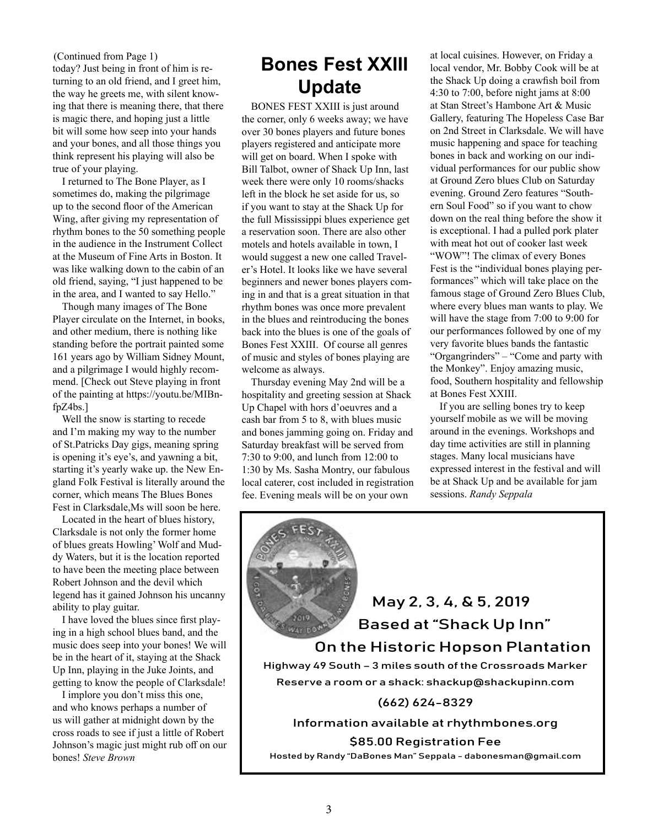today? Just being in front of him is returning to an old friend, and I greet him, the way he greets me, with silent knowing that there is meaning there, that there is magic there, and hoping just a little bit will some how seep into your hands and your bones, and all those things you think represent his playing will also be true of your playing. (Continued from Page 1)<br>today? Just being in front of him is re-<br>**Bones Fest XXIII** 

I returned to The Bone Player, as I sometimes do, making the pilgrimage up to the second floor of the American Wing, after giving my representation of rhythm bones to the 50 something people in the audience in the Instrument Collect at the Museum of Fine Arts in Boston. It was like walking down to the cabin of an old friend, saying, "I just happened to be in the area, and I wanted to say Hello."

Though many images of The Bone Player circulate on the Internet, in books, and other medium, there is nothing like standing before the portrait painted some 161 years ago by William Sidney Mount, and a pilgrimage I would highly recommend. [Check out Steve playing in front of the painting at https://youtu.be/MIBnfpZ4bs.]

Well the snow is starting to recede and I'm making my way to the number of St.Patricks Day gigs, meaning spring is opening it's eye's, and yawning a bit, starting it's yearly wake up. the New England Folk Festival is literally around the corner, which means The Blues Bones Fest in Clarksdale,Ms will soon be here.

Located in the heart of blues history, Clarksdale is not only the former home of blues greats Howling' Wolf and Muddy Waters, but it is the location reported to have been the meeting place between Robert Johnson and the devil which legend has it gained Johnson his uncanny ability to play guitar.

I have loved the blues since first playing in a high school blues band, and the music does seep into your bones! We will be in the heart of it, staying at the Shack Up Inn, playing in the Juke Joints, and getting to know the people of Clarksdale!

I implore you don't miss this one, and who knows perhaps a number of us will gather at midnight down by the cross roads to see if just a little of Robert Johnson's magic just might rub off on our bones! *Steve Brown*

# **Update**

BONES FEST XXIII is just around the corner, only 6 weeks away; we have over 30 bones players and future bones players registered and anticipate more will get on board. When I spoke with Bill Talbot, owner of Shack Up Inn, last week there were only 10 rooms/shacks left in the block he set aside for us, so if you want to stay at the Shack Up for the full Mississippi blues experience get a reservation soon. There are also other motels and hotels available in town, I would suggest a new one called Traveler's Hotel. It looks like we have several beginners and newer bones players coming in and that is a great situation in that rhythm bones was once more prevalent in the blues and reintroducing the bones back into the blues is one of the goals of Bones Fest XXIII. Of course all genres of music and styles of bones playing are welcome as always.

Thursday evening May 2nd will be a hospitality and greeting session at Shack Up Chapel with hors d'oeuvres and a cash bar from 5 to 8, with blues music and bones jamming going on. Friday and Saturday breakfast will be served from 7:30 to 9:00, and lunch from 12:00 to 1:30 by Ms. Sasha Montry, our fabulous local caterer, cost included in registration fee. Evening meals will be on your own

at local cuisines. However, on Friday a local vendor, Mr. Bobby Cook will be at the Shack Up doing a crawfish boil from 4:30 to 7:00, before night jams at 8:00 at Stan Street's Hambone Art & Music Gallery, featuring The Hopeless Case Bar on 2nd Street in Clarksdale. We will have music happening and space for teaching bones in back and working on our individual performances for our public show at Ground Zero blues Club on Saturday evening. Ground Zero features "Southern Soul Food" so if you want to chow down on the real thing before the show it is exceptional. I had a pulled pork plater with meat hot out of cooker last week "WOW"! The climax of every Bones Fest is the "individual bones playing performances" which will take place on the famous stage of Ground Zero Blues Club, where every blues man wants to play. We will have the stage from 7:00 to 9:00 for our performances followed by one of my very favorite blues bands the fantastic "Organgrinders" – "Come and party with the Monkey". Enjoy amazing music, food, Southern hospitality and fellowship at Bones Fest XXIII.

If you are selling bones try to keep yourself mobile as we will be moving around in the evenings. Workshops and day time activities are still in planning stages. Many local musicians have expressed interest in the festival and will be at Shack Up and be available for jam sessions. *Randy Seppala* 

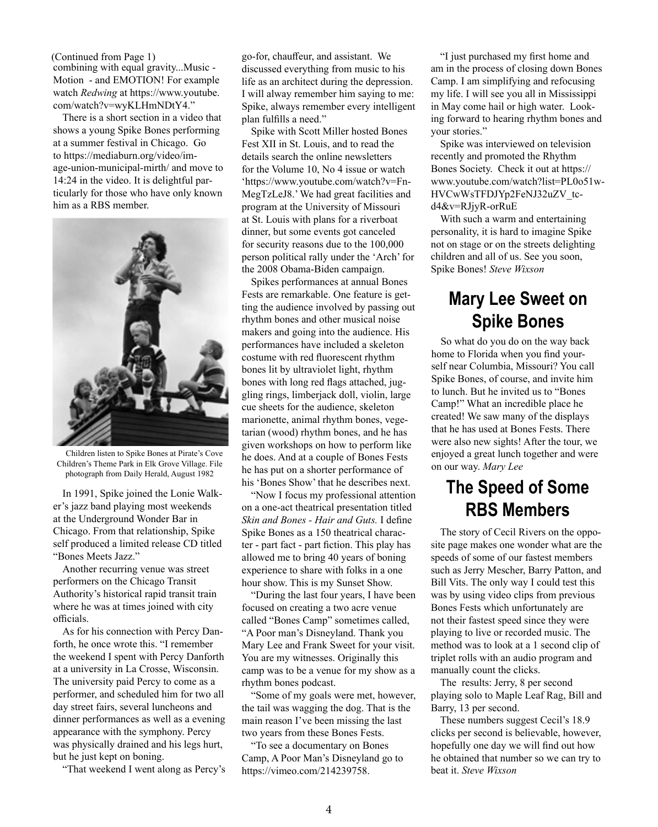combining with equal gravity...Music - Motion - and EMOTION! For example watch *Redwing* at https://www.youtube. com/watch?v=wyKLHmNDtY4." (Continued from Page 1)

There is a short section in a video that shows a young Spike Bones performing at a summer festival in Chicago. Go to https://mediaburn.org/video/image-union-municipal-mirth/ and move to 14:24 in the video. It is delightful particularly for those who have only known him as a RBS member.



Children listen to Spike Bones at Pirate's Cove Children's Theme Park in Elk Grove Village. File photograph from Daily Herald, August 1982

In 1991, Spike joined the Lonie Walker's jazz band playing most weekends at the Underground Wonder Bar in Chicago. From that relationship, Spike self produced a limited release CD titled "Bones Meets Jazz."

Another recurring venue was street performers on the Chicago Transit Authority's historical rapid transit train where he was at times joined with city officials.

As for his connection with Percy Danforth, he once wrote this. "I remember the weekend I spent with Percy Danforth at a university in La Crosse, Wisconsin. The university paid Percy to come as a performer, and scheduled him for two all day street fairs, several luncheons and dinner performances as well as a evening appearance with the symphony. Percy was physically drained and his legs hurt, but he just kept on boning.

"That weekend I went along as Percy's

go-for, chauffeur, and assistant. We discussed everything from music to his life as an architect during the depression. I will alway remember him saying to me: Spike, always remember every intelligent plan fulfills a need."

Spike with Scott Miller hosted Bones Fest XII in St. Louis, and to read the details search the online newsletters for the Volume 10, No 4 issue or watch 'https://www.youtube.com/watch?v=Fn-MegTzLeJ8.' We had great facilities and program at the University of Missouri at St. Louis with plans for a riverboat dinner, but some events got canceled for security reasons due to the 100,000 person political rally under the 'Arch' for the 2008 Obama-Biden campaign.

Spikes performances at annual Bones Fests are remarkable. One feature is getting the audience involved by passing out rhythm bones and other musical noise makers and going into the audience. His performances have included a skeleton costume with red fluorescent rhythm bones lit by ultraviolet light, rhythm bones with long red flags attached, juggling rings, limberjack doll, violin, large cue sheets for the audience, skeleton marionette, animal rhythm bones, vegetarian (wood) rhythm bones, and he has given workshops on how to perform like he does. And at a couple of Bones Fests he has put on a shorter performance of his 'Bones Show' that he describes next.

"Now I focus my professional attention on a one-act theatrical presentation titled *Skin and Bones - Hair and Guts.* I define Spike Bones as a 150 theatrical character - part fact - part fiction. This play has allowed me to bring 40 years of boning experience to share with folks in a one hour show. This is my Sunset Show.

"During the last four years, I have been focused on creating a two acre venue called "Bones Camp" sometimes called, "A Poor man's Disneyland. Thank you Mary Lee and Frank Sweet for your visit. You are my witnesses. Originally this camp was to be a venue for my show as a rhythm bones podcast.

"Some of my goals were met, however, the tail was wagging the dog. That is the main reason I've been missing the last two years from these Bones Fests.

"To see a documentary on Bones Camp, A Poor Man's Disneyland go to https://vimeo.com/214239758.

"I just purchased my first home and am in the process of closing down Bones Camp. I am simplifying and refocusing my life. I will see you all in Mississippi in May come hail or high water. Looking forward to hearing rhythm bones and your stories."

Spike was interviewed on television recently and promoted the Rhythm Bones Society. Check it out at https:// www.youtube.com/watch?list=PL0o51w-HVCwWsTFDJYp2FeNJ32uZV\_tcd4&v=RJjyR-orRuE

With such a warm and entertaining personality, it is hard to imagine Spike not on stage or on the streets delighting children and all of us. See you soon, Spike Bones! *Steve Wixson*

## **Mary Lee Sweet on Spike Bones**

So what do you do on the way back home to Florida when you find yourself near Columbia, Missouri? You call Spike Bones, of course, and invite him to lunch. But he invited us to "Bones Camp!" What an incredible place he created! We saw many of the displays that he has used at Bones Fests. There were also new sights! After the tour, we enjoyed a great lunch together and were on our way. *Mary Lee*

## **The Speed of Some RBS Members**

The story of Cecil Rivers on the opposite page makes one wonder what are the speeds of some of our fastest members such as Jerry Mescher, Barry Patton, and Bill Vits. The only way I could test this was by using video clips from previous Bones Fests which unfortunately are not their fastest speed since they were playing to live or recorded music. The method was to look at a 1 second clip of triplet rolls with an audio program and manually count the clicks.

The results: Jerry, 8 per second playing solo to Maple Leaf Rag, Bill and Barry, 13 per second.

These numbers suggest Cecil's 18.9 clicks per second is believable, however, hopefully one day we will find out how he obtained that number so we can try to beat it. *Steve Wixson*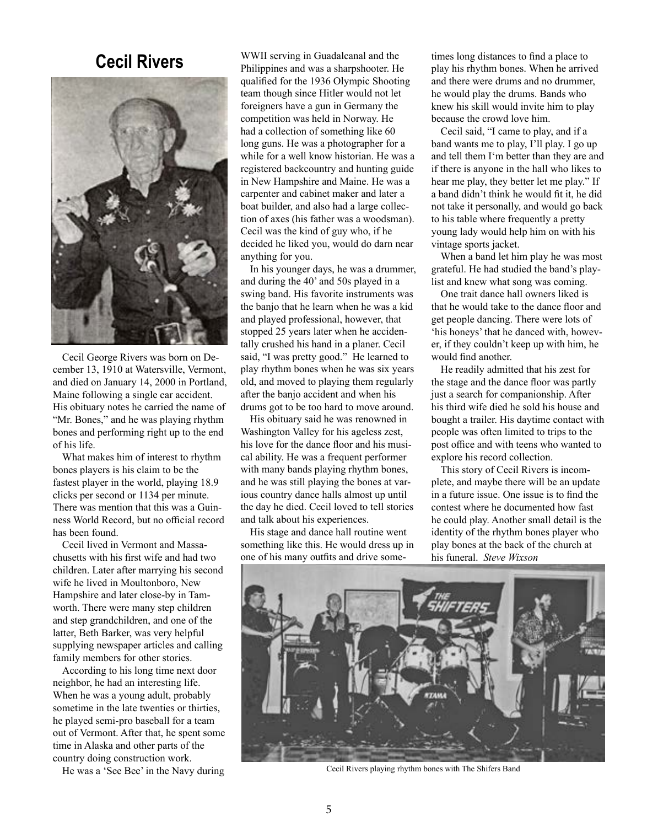

Cecil George Rivers was born on December 13, 1910 at Watersville, Vermont, and died on January 14, 2000 in Portland, Maine following a single car accident. His obituary notes he carried the name of "Mr. Bones," and he was playing rhythm bones and performing right up to the end of his life.

What makes him of interest to rhythm bones players is his claim to be the fastest player in the world, playing 18.9 clicks per second or 1134 per minute. There was mention that this was a Guinness World Record, but no official record has been found.

Cecil lived in Vermont and Massachusetts with his first wife and had two children. Later after marrying his second wife he lived in Moultonboro, New Hampshire and later close-by in Tamworth. There were many step children and step grandchildren, and one of the latter, Beth Barker, was very helpful supplying newspaper articles and calling family members for other stories.

According to his long time next door neighbor, he had an interesting life. When he was a young adult, probably sometime in the late twenties or thirties, he played semi-pro baseball for a team out of Vermont. After that, he spent some time in Alaska and other parts of the country doing construction work.

He was a 'See Bee' in the Navy during

WWII serving in Guadalcanal and the **Cecil Rivers** WWII serving in Guadalcanal and the times long distances to find a place to play his rhythm bones. When he arrive qualified for the 1936 Olympic Shooting team though since Hitler would not let foreigners have a gun in Germany the competition was held in Norway. He had a collection of something like 60 long guns. He was a photographer for a while for a well know historian. He was a registered backcountry and hunting guide in New Hampshire and Maine. He was a carpenter and cabinet maker and later a boat builder, and also had a large collection of axes (his father was a woodsman). Cecil was the kind of guy who, if he decided he liked you, would do darn near anything for you.

> In his younger days, he was a drummer, and during the 40' and 50s played in a swing band. His favorite instruments was the banjo that he learn when he was a kid and played professional, however, that stopped 25 years later when he accidentally crushed his hand in a planer. Cecil said, "I was pretty good." He learned to play rhythm bones when he was six years old, and moved to playing them regularly after the banjo accident and when his drums got to be too hard to move around.

His obituary said he was renowned in Washington Valley for his ageless zest, his love for the dance floor and his musical ability. He was a frequent performer with many bands playing rhythm bones, and he was still playing the bones at various country dance halls almost up until the day he died. Cecil loved to tell stories and talk about his experiences.

His stage and dance hall routine went something like this. He would dress up in one of his many outfits and drive someplay his rhythm bones. When he arrived and there were drums and no drummer, he would play the drums. Bands who knew his skill would invite him to play because the crowd love him.

Cecil said, "I came to play, and if a band wants me to play, I'll play. I go up and tell them I'm better than they are and if there is anyone in the hall who likes to hear me play, they better let me play." If a band didn't think he would fit it, he did not take it personally, and would go back to his table where frequently a pretty young lady would help him on with his vintage sports jacket.

When a band let him play he was most grateful. He had studied the band's playlist and knew what song was coming.

One trait dance hall owners liked is that he would take to the dance floor and get people dancing. There were lots of 'his honeys' that he danced with, however, if they couldn't keep up with him, he would find another.

He readily admitted that his zest for the stage and the dance floor was partly just a search for companionship. After his third wife died he sold his house and bought a trailer. His daytime contact with people was often limited to trips to the post office and with teens who wanted to explore his record collection.

This story of Cecil Rivers is incomplete, and maybe there will be an update in a future issue. One issue is to find the contest where he documented how fast he could play. Another small detail is the identity of the rhythm bones player who play bones at the back of the church at his funeral. *Steve Wixson*



Cecil Rivers playing rhythm bones with The Shifers Band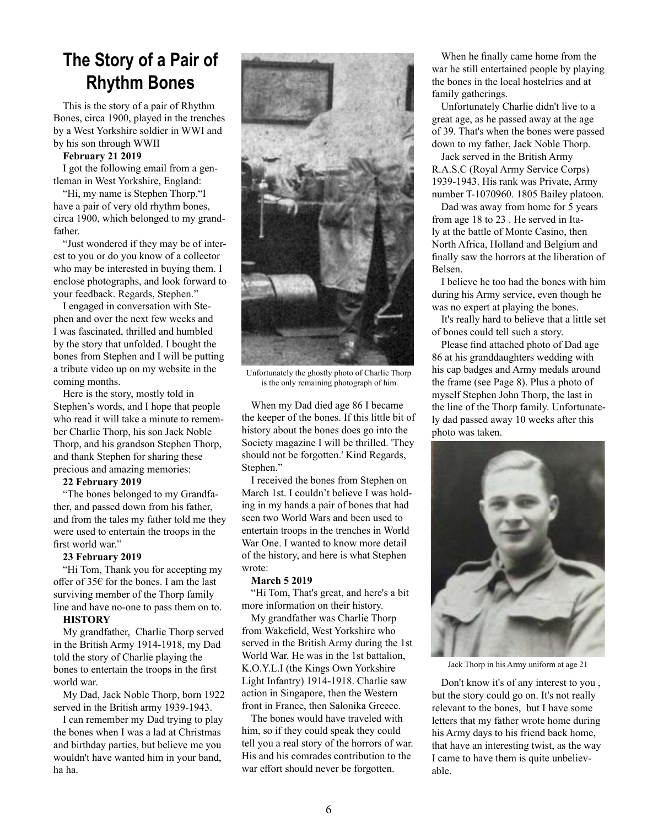## **The Story of a Pair of Rhythm Bones**

This is the story of a pair of Rhythm Bones, circa 1900, played in the trenches by a West Yorkshire soldier in WWI and by his son through WWII

### **February 21 2019**

I got the following email from a gentleman in West Yorkshire, England:

"Hi, my name is Stephen Thorp."I have a pair of very old rhythm bones, circa 1900, which belonged to my grandfather.

"Just wondered if they may be of interest to you or do you know of a collector who may be interested in buying them. I enclose photographs, and look forward to your feedback. Regards, Stephen."

I engaged in conversation with Stephen and over the next few weeks and I was fascinated, thrilled and humbled by the story that unfolded. I bought the bones from Stephen and I will be putting a tribute video up on my website in the coming months.

Here is the story, mostly told in Stephen's words, and I hope that people who read it will take a minute to remember Charlie Thorp, his son Jack Noble Thorp, and his grandson Stephen Thorp, and thank Stephen for sharing these precious and amazing memories:

### **22 February 2019**

"The bones belonged to my Grandfather, and passed down from his father, and from the tales my father told me they were used to entertain the troops in the first world war."

### **23 February 2019**

"Hi Tom, Thank you for accepting my offer of 35€ for the bones. I am the last surviving member of the Thorp family line and have no-one to pass them on to.

### **HISTORY**

My grandfather, Charlie Thorp served in the British Army 1914-1918, my Dad told the story of Charlie playing the bones to entertain the troops in the first world war.

My Dad, Jack Noble Thorp, born 1922 served in the British army 1939-1943.

I can remember my Dad trying to play the bones when I was a lad at Christmas and birthday parties, but believe me you wouldn't have wanted him in your band, ha ha.



Unfortunately the ghostly photo of Charlie Thorp is the only remaining photograph of him.

When my Dad died age 86 I became the keeper of the bones. If this little bit of history about the bones does go into the Society magazine I will be thrilled. 'They should not be forgotten.' Kind Regards, Stephen."

I received the bones from Stephen on March 1st. I couldn't believe I was holding in my hands a pair of bones that had seen two World Wars and been used to entertain troops in the trenches in World War One. I wanted to know more detail of the history, and here is what Stephen wrote:

### **March 5 2019**

"Hi Tom, That's great, and here's a bit more information on their history.

My grandfather was Charlie Thorp from Wakefield, West Yorkshire who served in the British Army during the 1st World War. He was in the 1st battalion, K.O.Y.L.I (the Kings Own Yorkshire Light Infantry) 1914-1918. Charlie saw action in Singapore, then the Western front in France, then Salonika Greece.

The bones would have traveled with him, so if they could speak they could tell you a real story of the horrors of war. His and his comrades contribution to the war effort should never be forgotten.

When he finally came home from the war he still entertained people by playing the bones in the local hostelries and at family gatherings.

Unfortunately Charlie didn't live to a great age, as he passed away at the age of 39. That's when the bones were passed down to my father, Jack Noble Thorp.

Jack served in the British Army R.A.S.C (Royal Army Service Corps) 1939-1943. His rank was Private, Army number T-1070960. 1805 Bailey platoon.

Dad was away from home for 5 years from age 18 to 23 . He served in Italy at the battle of Monte Casino, then North Africa, Holland and Belgium and finally saw the horrors at the liberation of Belsen.

I believe he too had the bones with him during his Army service, even though he was no expert at playing the bones.

It's really hard to believe that a little set of bones could tell such a story.

Please find attached photo of Dad age 86 at his granddaughters wedding with his cap badges and Army medals around the frame (see Page 8). Plus a photo of myself Stephen John Thorp, the last in the line of the Thorp family. Unfortunately dad passed away 10 weeks after this photo was taken.



Jack Thorp in his Army uniform at age 21

Don't know it's of any interest to you , but the story could go on. It's not really relevant to the bones, but I have some letters that my father wrote home during his Army days to his friend back home, that have an interesting twist, as the way I came to have them is quite unbelievable.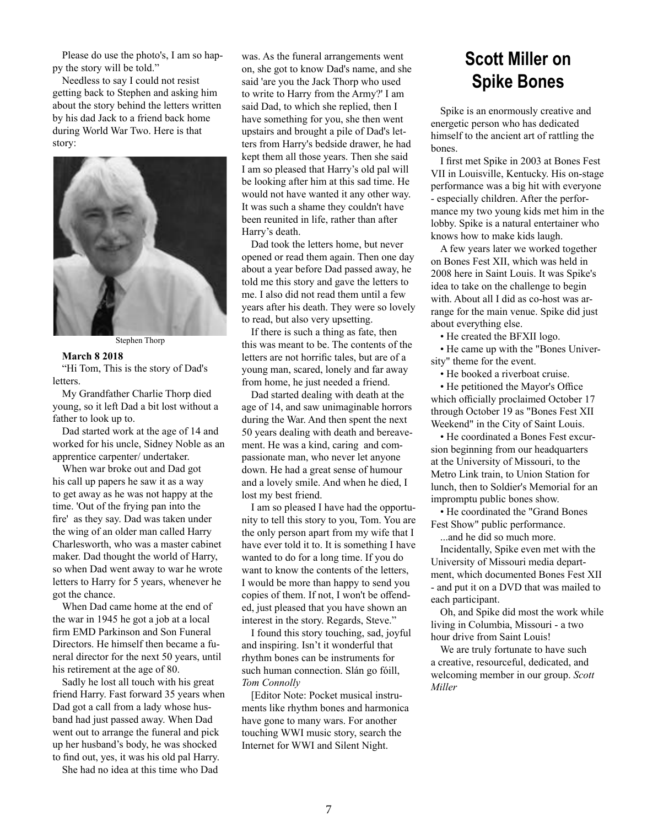Please do use the photo's, I am so happy the story will be told."

Needless to say I could not resist getting back to Stephen and asking him about the story behind the letters written by his dad Jack to a friend back home during World War Two. Here is that story:



Stephen Thorp

### **March 8 2018**

"Hi Tom, This is the story of Dad's letters.

My Grandfather Charlie Thorp died young, so it left Dad a bit lost without a father to look up to.

Dad started work at the age of 14 and worked for his uncle, Sidney Noble as an apprentice carpenter/ undertaker.

When war broke out and Dad got his call up papers he saw it as a way to get away as he was not happy at the time. 'Out of the frying pan into the fire' as they say. Dad was taken under the wing of an older man called Harry Charlesworth, who was a master cabinet maker. Dad thought the world of Harry, so when Dad went away to war he wrote letters to Harry for 5 years, whenever he got the chance.

When Dad came home at the end of the war in 1945 he got a job at a local firm EMD Parkinson and Son Funeral Directors. He himself then became a funeral director for the next 50 years, until his retirement at the age of 80.

Sadly he lost all touch with his great friend Harry. Fast forward 35 years when Dad got a call from a lady whose husband had just passed away. When Dad went out to arrange the funeral and pick up her husband's body, he was shocked to find out, yes, it was his old pal Harry.

She had no idea at this time who Dad

was. As the funeral arrangements went on, she got to know Dad's name, and she said 'are you the Jack Thorp who used to write to Harry from the Army?' I am said Dad, to which she replied, then I have something for you, she then went upstairs and brought a pile of Dad's letters from Harry's bedside drawer, he had kept them all those years. Then she said I am so pleased that Harry's old pal will be looking after him at this sad time. He would not have wanted it any other way. It was such a shame they couldn't have been reunited in life, rather than after Harry's death.

Dad took the letters home, but never opened or read them again. Then one day about a year before Dad passed away, he told me this story and gave the letters to me. I also did not read them until a few years after his death. They were so lovely to read, but also very upsetting.

If there is such a thing as fate, then this was meant to be. The contents of the letters are not horrific tales, but are of a young man, scared, lonely and far away from home, he just needed a friend.

Dad started dealing with death at the age of 14, and saw unimaginable horrors during the War. And then spent the next 50 years dealing with death and bereavement. He was a kind, caring and compassionate man, who never let anyone down. He had a great sense of humour and a lovely smile. And when he died, I lost my best friend.

I am so pleased I have had the opportunity to tell this story to you, Tom. You are the only person apart from my wife that I have ever told it to. It is something I have wanted to do for a long time. If you do want to know the contents of the letters, I would be more than happy to send you copies of them. If not, I won't be offended, just pleased that you have shown an interest in the story. Regards, Steve."

I found this story touching, sad, joyful and inspiring. Isn't it wonderful that rhythm bones can be instruments for such human connection. Slán go fóill, *Tom Connolly*

[Editor Note: Pocket musical instruments like rhythm bones and harmonica have gone to many wars. For another touching WWI music story, search the Internet for WWI and Silent Night.

## **Scott Miller on Spike Bones**

Spike is an enormously creative and energetic person who has dedicated himself to the ancient art of rattling the bones.

I first met Spike in 2003 at Bones Fest VII in Louisville, Kentucky. His on-stage performance was a big hit with everyone - especially children. After the performance my two young kids met him in the lobby. Spike is a natural entertainer who knows how to make kids laugh.

A few years later we worked together on Bones Fest XII, which was held in 2008 here in Saint Louis. It was Spike's idea to take on the challenge to begin with. About all I did as co-host was arrange for the main venue. Spike did just about everything else.

• He created the BFXII logo.

• He came up with the "Bones University" theme for the event.

• He booked a riverboat cruise.

• He petitioned the Mayor's Office which officially proclaimed October 17 through October 19 as "Bones Fest XII Weekend" in the City of Saint Louis.

• He coordinated a Bones Fest excursion beginning from our headquarters at the University of Missouri, to the Metro Link train, to Union Station for lunch, then to Soldier's Memorial for an impromptu public bones show.

• He coordinated the "Grand Bones Fest Show" public performance.

...and he did so much more.

Incidentally, Spike even met with the University of Missouri media department, which documented Bones Fest XII - and put it on a DVD that was mailed to each participant.

Oh, and Spike did most the work while living in Columbia, Missouri - a two hour drive from Saint Louis!

We are truly fortunate to have such a creative, resourceful, dedicated, and welcoming member in our group. *Scott Miller*